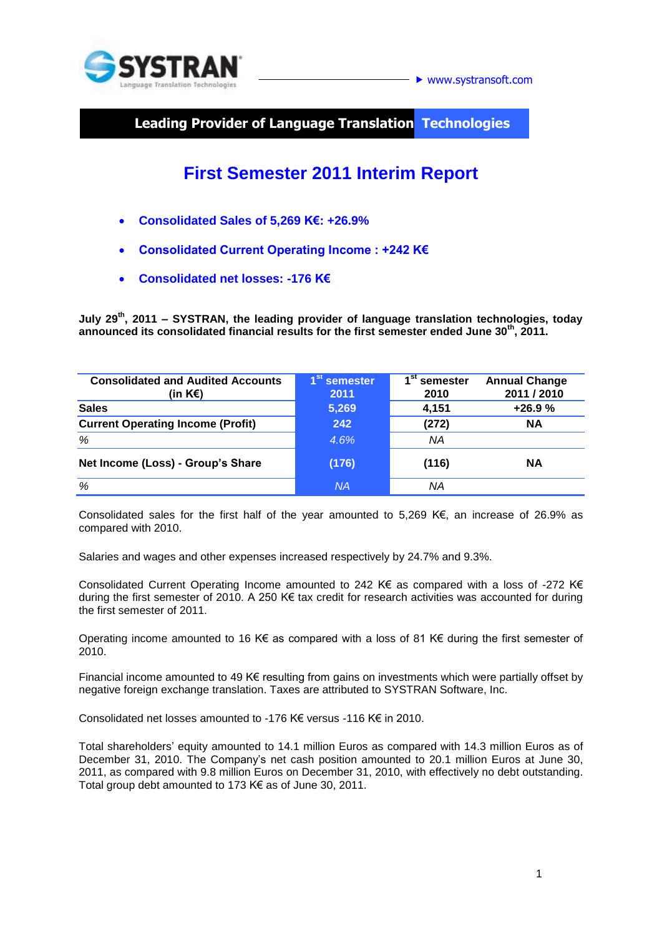

**Leading Provider of Language Translation Technologies**

# **First Semester 2011 Interim Report**

- **Consolidated Sales of 5,269 K€: +26.9%**
- **Consolidated Current Operating Income : +242 K€**
- **Consolidated net losses: -176 K€**

**July 29th , 2011 – SYSTRAN, the leading provider of language translation technologies, today announced its consolidated financial results for the first semester ended June 30th, 2011.**

| <b>Consolidated and Audited Accounts</b><br>(in K $\varepsilon$ ) | 1 <sup>st</sup> semester<br>2011 | st<br>semester<br>2010 | <b>Annual Change</b><br>2011 / 2010 |
|-------------------------------------------------------------------|----------------------------------|------------------------|-------------------------------------|
| <b>Sales</b>                                                      | 5,269                            | 4,151                  | $+26.9%$                            |
| <b>Current Operating Income (Profit)</b>                          | 242                              | (272)                  | <b>NA</b>                           |
| %                                                                 | 4.6%                             | ΝA                     |                                     |
| Net Income (Loss) - Group's Share                                 | (176)                            | (116)                  | <b>NA</b>                           |
| %                                                                 | <b>NA</b>                        | ΝA                     |                                     |

Consolidated sales for the first half of the year amounted to 5,269 K€, an increase of 26.9% as compared with 2010.

Salaries and wages and other expenses increased respectively by 24.7% and 9.3%.

Consolidated Current Operating Income amounted to 242 K€ as compared with a loss of -272 K€ during the first semester of 2010. A 250 K€ tax credit for research activities was accounted for during the first semester of 2011.

Operating income amounted to 16 K€ as compared with a loss of 81 K€ during the first semester of 2010.

Financial income amounted to 49 K€ resulting from gains on investments which were partially offset by negative foreign exchange translation. Taxes are attributed to SYSTRAN Software, Inc.

Consolidated net losses amounted to -176 K€ versus -116 K€ in 2010.

Total shareholders' equity amounted to 14.1 million Euros as compared with 14.3 million Euros as of December 31, 2010. The Company's net cash position amounted to 20.1 million Euros at June 30, 2011, as compared with 9.8 million Euros on December 31, 2010, with effectively no debt outstanding. Total group debt amounted to 173 K€ as of June 30, 2011.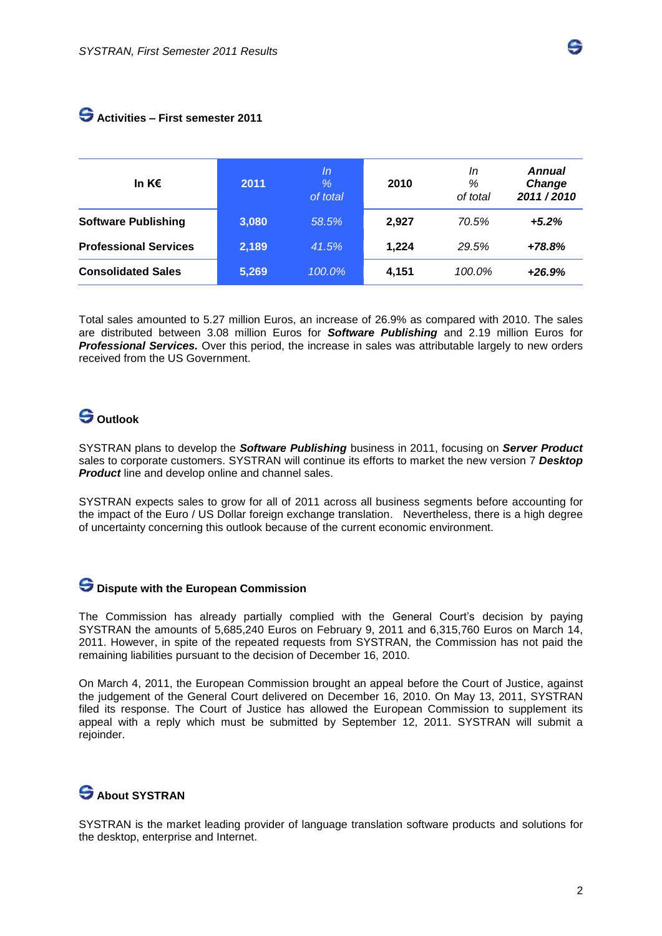### **Activities – First semester 2011**

| In K $\epsilon$              | 2011  | ln<br>%<br>of total | 2010  | In<br>%<br>of total | <b>Annual</b><br>Change<br>2011/2010 |
|------------------------------|-------|---------------------|-------|---------------------|--------------------------------------|
| <b>Software Publishing</b>   | 3,080 | 58.5%               | 2.927 | 70.5%               | $+5.2%$                              |
| <b>Professional Services</b> | 2,189 | 41.5%               | 1.224 | 29.5%               | $+78.8%$                             |
| <b>Consolidated Sales</b>    | 5,269 | 100.0%              | 4,151 | 100.0%              | $+26.9%$                             |

Total sales amounted to 5.27 million Euros, an increase of 26.9% as compared with 2010. The sales are distributed between 3.08 million Euros for *Software Publishing* and 2.19 million Euros for *Professional Services.* Over this period, the increase in sales was attributable largely to new orders received from the US Government.

### **Outlook**

SYSTRAN plans to develop the *Software Publishing* business in 2011, focusing on *Server Product* sales to corporate customers. SYSTRAN will continue its efforts to market the new version 7 *Desktop Product* line and develop online and channel sales.

SYSTRAN expects sales to grow for all of 2011 across all business segments before accounting for the impact of the Euro / US Dollar foreign exchange translation. Nevertheless, there is a high degree of uncertainty concerning this outlook because of the current economic environment.

### **Dispute with the European Commission**

The Commission has already partially complied with the General Court's decision by paying SYSTRAN the amounts of 5,685,240 Euros on February 9, 2011 and 6,315,760 Euros on March 14, 2011. However, in spite of the repeated requests from SYSTRAN, the Commission has not paid the remaining liabilities pursuant to the decision of December 16, 2010.

On March 4, 2011, the European Commission brought an appeal before the Court of Justice, against the judgement of the General Court delivered on December 16, 2010. On May 13, 2011, SYSTRAN filed its response. The Court of Justice has allowed the European Commission to supplement its appeal with a reply which must be submitted by September 12, 2011. SYSTRAN will submit a rejoinder.

## **About SYSTRAN**

SYSTRAN is the market leading provider of language translation software products and solutions for the desktop, enterprise and Internet.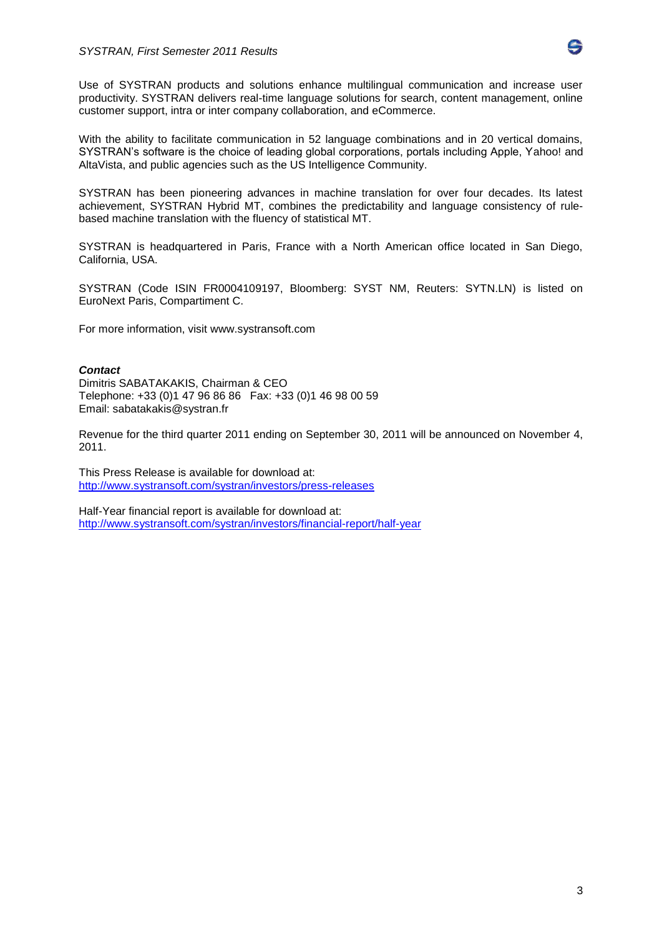

Use of SYSTRAN products and solutions enhance multilingual communication and increase user productivity. SYSTRAN delivers real-time language solutions for search, content management, online customer support, intra or inter company collaboration, and eCommerce.

With the ability to facilitate communication in 52 language combinations and in 20 vertical domains, SYSTRAN's software is the choice of leading global corporations, portals including Apple, Yahoo! and AltaVista, and public agencies such as the US Intelligence Community.

SYSTRAN has been pioneering advances in machine translation for over four decades. Its latest achievement, SYSTRAN Hybrid MT, combines the predictability and language consistency of rulebased machine translation with the fluency of statistical MT.

SYSTRAN is headquartered in Paris, France with a North American office located in San Diego, California, USA.

SYSTRAN (Code ISIN FR0004109197, Bloomberg: SYST NM, Reuters: SYTN.LN) is listed on EuroNext Paris, Compartiment C.

For more information, visit [www.systransoft.com](http://www.systransoft.com/)

#### *Contact*

Dimitris SABATAKAKIS, Chairman & CEO Telephone: +33 (0)1 47 96 86 86 Fax: +33 (0)1 46 98 00 59 Email: sabatakakis@systran.fr

Revenue for the third quarter 2011 ending on September 30, 2011 will be announced on November 4, 2011.

This Press Release is available for download at: <http://www.systransoft.com/systran/investors/press-releases>

Half-Year financial report is available for download at: <http://www.systransoft.com/systran/investors/financial-report/half-year>